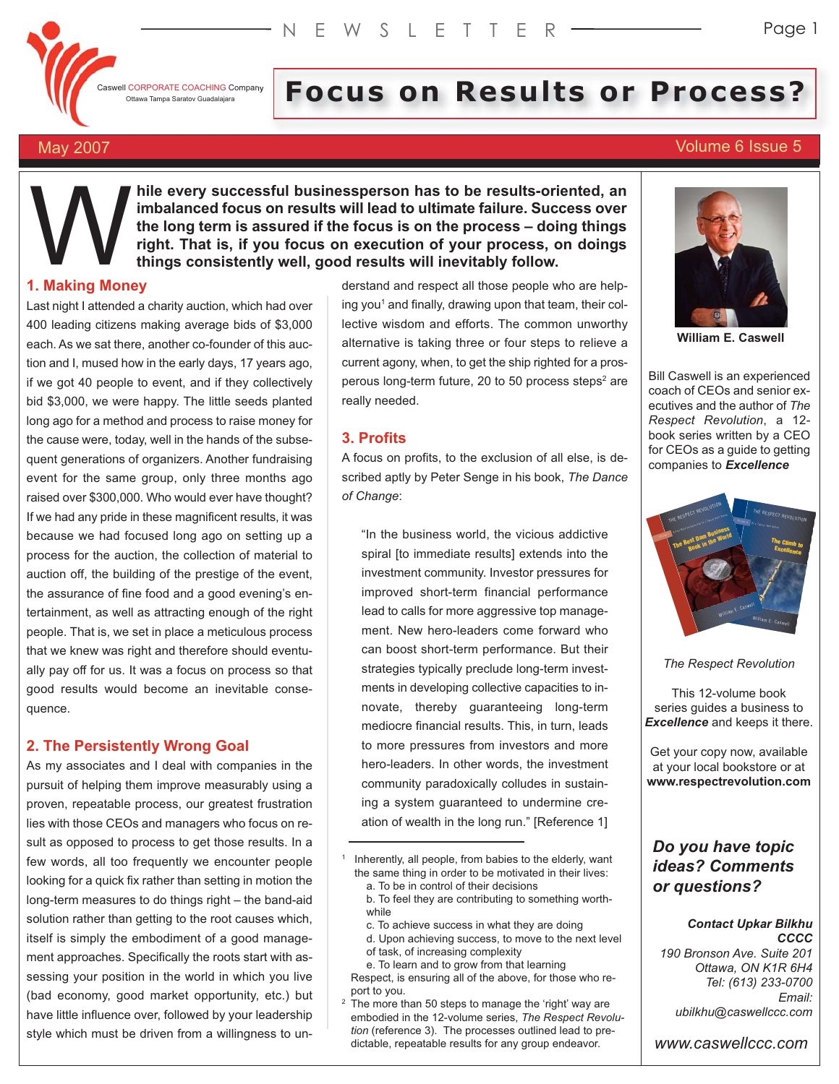

# **I** CORPORATE COACHING Company **Focus of Results or Process?**

# May 2007 **Volume 6 Issue 5**

**hile every successful businessperson has to be results-oriented, an imbalanced focus on results will lead to ultimate failure. Success over the long term is assured if the focus is on the process – doing things right. That is, if you focus on execution of your process, on doings things consistently well, good results will inevitably follow. Waking Mone** 

## **1. Making Money**

Last night I attended a charity auction, which had over 400 leading citizens making average bids of \$3,000 each. As we sat there, another co-founder of this auction and I, mused how in the early days, 17 years ago, if we got 40 people to event, and if they collectively bid \$3,000, we were happy. The little seeds planted long ago for a method and process to raise money for the cause were, today, well in the hands of the subsequent generations of organizers. Another fundraising event for the same group, only three months ago raised over \$300,000. Who would ever have thought? If we had any pride in these magnificent results, it was because we had focused long ago on setting up a process for the auction, the collection of material to auction off, the building of the prestige of the event, the assurance of fine food and a good evening's entertainment, as well as attracting enough of the right people. That is, we set in place a meticulous process that we knew was right and therefore should eventually pay off for us. It was a focus on process so that good results would become an inevitable consequence.

# **2. The Persistently Wrong Goal**

As my associates and I deal with companies in the pursuit of helping them improve measurably using a proven, repeatable process, our greatest frustration lies with those CEOs and managers who focus on result as opposed to process to get those results. In a few words, all too frequently we encounter people looking for a quick fix rather than setting in motion the long-term measures to do things right – the band-aid solution rather than getting to the root causes which, itself is simply the embodiment of a good management approaches. Specifically the roots start with assessing your position in the world in which you live (bad economy, good market opportunity, etc.) but have little influence over, followed by your leadership style which must be driven from a willingness to understand and respect all those people who are helping you<sup>1</sup> and finally, drawing upon that team, their collective wisdom and efforts. The common unworthy alternative is taking three or four steps to relieve a current agony, when, to get the ship righted for a prosperous long-term future, 20 to 50 process steps $2$  are really needed.

# **3. Profits**

A focus on profits, to the exclusion of all else, is described aptly by Peter Senge in his book, *The Dance of Change*:

"In the business world, the vicious addictive spiral [to immediate results] extends into the investment community. Investor pressures for improved short-term financial performance lead to calls for more aggressive top management. New hero-leaders come forward who can boost short-term performance. But their strategies typically preclude long-term investments in developing collective capacities to innovate, thereby guaranteeing long-term mediocre financial results. This, in turn, leads to more pressures from investors and more hero-leaders. In other words, the investment community paradoxically colludes in sustaining a system guaranteed to undermine creation of wealth in the long run." [Reference 1]

- b. To feel they are contributing to something worthwhile
- c. To achieve success in what they are doing
- d. Upon achieving success, to move to the next level of task, of increasing complexity
- e. To learn and to grow from that learning

Respect, is ensuring all of the above, for those who report to you.

 $2\sqrt{2}$  The more than 50 steps to manage the 'right' way are embodied in the 12-volume series, *The Respect Revolution* (reference 3). The processes outlined lead to predictable, repeatable results for any group endeavor.



**William E. Caswell**

Bill Caswell is an experienced coach of CEOs and senior executives and the author of *The Respect Revolution*, a 12 book series written by a CEO for CEOs as a guide to getting companies to *Excellence*



*The Respect Revolution*

This 12-volume book series guides a business to *Excellence* and keeps it there.

Get your copy now, available at your local bookstore or at **www.respectrevolution.com**

# *Do you have topic ideas? Comments or questions?*

### *Contact Upkar Bilkhu CCCC*

*190 Bronson Ave. Suite 201 Ottawa, ON K1R 6H4 Tel: (613) 233-0700 Email: ubilkhu@caswellccc.com*

*www.caswellccc.com*

<sup>&</sup>lt;sup>1</sup> Inherently, all people, from babies to the elderly, want the same thing in order to be motivated in their lives: a. To be in control of their decisions